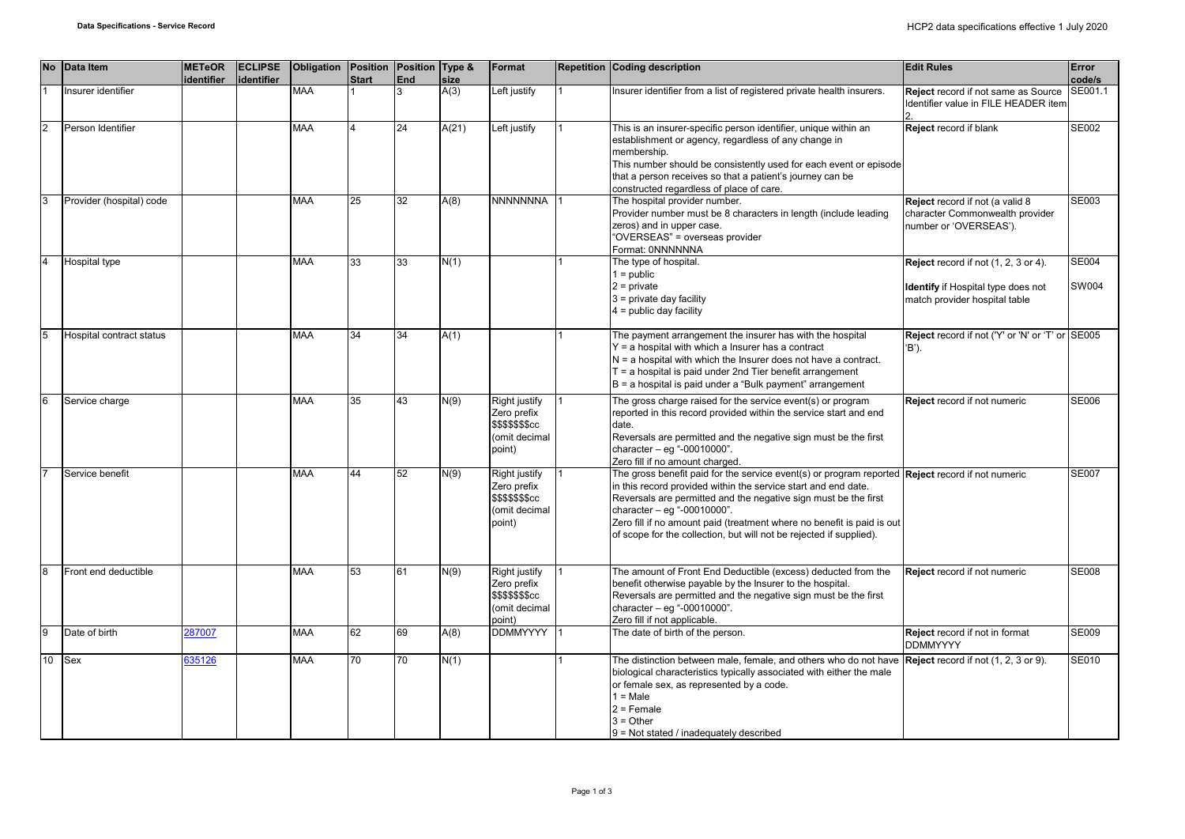|                | No Data Item             | <b>METeOR</b><br>identifier | <b>ECLIPSE</b><br>identifier | Obligation Position Position Type & | <b>Start</b>   | End | size  | Format                                                                                 | <b>Repetition Coding description</b>                                                                                                                                                                                                                                                                                                                                                                                           | <b>Edit Rules</b>                                                                                                  | Error<br>code/s       |
|----------------|--------------------------|-----------------------------|------------------------------|-------------------------------------|----------------|-----|-------|----------------------------------------------------------------------------------------|--------------------------------------------------------------------------------------------------------------------------------------------------------------------------------------------------------------------------------------------------------------------------------------------------------------------------------------------------------------------------------------------------------------------------------|--------------------------------------------------------------------------------------------------------------------|-----------------------|
|                | Insurer identifier       |                             |                              | <b>MAA</b>                          |                |     | A(3)  | Left justify                                                                           | Insurer identifier from a list of registered private health insurers.                                                                                                                                                                                                                                                                                                                                                          | Reject record if not same as Source<br>Identifier value in FILE HEADER item                                        | SE001.1               |
| $\overline{2}$ | Person Identifier        |                             |                              | <b>MAA</b>                          | $\overline{4}$ | 24  | A(21) | Left justify                                                                           | This is an insurer-specific person identifier, unique within an<br>establishment or agency, regardless of any change in<br>membership.<br>This number should be consistently used for each event or episode<br>that a person receives so that a patient's journey can be<br>constructed regardless of place of care.                                                                                                           | Reject record if blank                                                                                             | <b>SE002</b>          |
| 3              | Provider (hospital) code |                             |                              | <b>MAA</b>                          | 25             | 32  | A(8)  | <b>NNNNNNNA</b>                                                                        | The hospital provider number.<br>Provider number must be 8 characters in length (include leading<br>zeros) and in upper case.<br>"OVERSEAS" = overseas provider<br>Format: 0NNNNNNA                                                                                                                                                                                                                                            | Reject record if not (a valid 8<br>character Commonwealth provider<br>number or 'OVERSEAS').                       | <b>SE003</b>          |
|                | Hospital type            |                             |                              | MAA                                 | 33             | 33  | N(1)  |                                                                                        | The type of hospital.<br>$1 = \text{public}$<br>$2$ = private<br>$3$ = private day facility<br>$4 =$ public day facility                                                                                                                                                                                                                                                                                                       | Reject record if not (1, 2, 3 or 4).<br><b>Identify</b> if Hospital type does not<br>match provider hospital table | <b>SE004</b><br>SW004 |
|                | Hospital contract status |                             |                              | MAA                                 | 34             | 34  | A(1)  |                                                                                        | The payment arrangement the insurer has with the hospital<br>Y = a hospital with which a Insurer has a contract<br>$N = a$ hospital with which the Insurer does not have a contract.<br>$T = a$ hospital is paid under 2nd Tier benefit arrangement<br>$B = a$ hospital is paid under a "Bulk payment" arrangement                                                                                                             | Reject record if not ('Y' or 'N' or 'T' or SE005<br>'B').                                                          |                       |
| 6              | Service charge           |                             |                              | <b>MAA</b>                          | 35             | 43  | N(9)  | Right justify<br>Zero prefix<br>\$\$\$\$\$\$ <sub>\$cc</sub><br>omit decimal<br>point) | The gross charge raised for the service event(s) or program<br>reported in this record provided within the service start and end<br>date.<br>Reversals are permitted and the negative sign must be the first<br>character - eg "-00010000".<br>Zero fill if no amount charged.                                                                                                                                                 | Reject record if not numeric                                                                                       | <b>SE006</b>          |
|                | Service benefit          |                             |                              | MAA                                 | 44             | 52  | N(9)  | <b>Right justify</b><br>Zero prefix<br>\$\$\$\$\$\$\$cc<br>(omit decimal<br>point)     | The gross benefit paid for the service event(s) or program reported <b>Reject</b> record if not numeric<br>in this record provided within the service start and end date.<br>Reversals are permitted and the negative sign must be the first<br>character $-$ eq "-00010000".<br>Zero fill if no amount paid (treatment where no benefit is paid is out<br>of scope for the collection, but will not be rejected if supplied). |                                                                                                                    | <b>SE007</b>          |
|                | Front end deductible     |                             |                              | <b>MAA</b>                          | 53             | 61  | N(9)  | Right justify<br>Zero prefix<br>\$\$\$\$\$\$\$cc<br>omit decimal<br>point)             | The amount of Front End Deductible (excess) deducted from the<br>benefit otherwise payable by the Insurer to the hospital.<br>Reversals are permitted and the negative sign must be the first<br>character $-$ eg "-00010000".<br>Zero fill if not applicable.                                                                                                                                                                 | Reject record if not numeric                                                                                       | <b>SE008</b>          |
| $\mathbf{Q}$   | Date of birth            | 287007                      |                              | <b>MAA</b>                          | 62             | 69  | A(8)  | <b>DDMMYYYY</b>                                                                        | The date of birth of the person.                                                                                                                                                                                                                                                                                                                                                                                               | Reject record if not in format<br><b>DDMMYYYY</b>                                                                  | <b>SE009</b>          |
| 10             | Sex                      | 635126                      |                              | MAA                                 | 70             | 70  | N(1)  |                                                                                        | The distinction between male, female, and others who do not have $\vert$ Reject record if not (1, 2, 3 or 9).<br>biological characteristics typically associated with either the male<br>or female sex, as represented by a code.<br>$1 = Male$<br>$2 =$ Female<br>$3 = Other$<br>9 = Not stated / inadequately described                                                                                                      |                                                                                                                    | <b>SE010</b>          |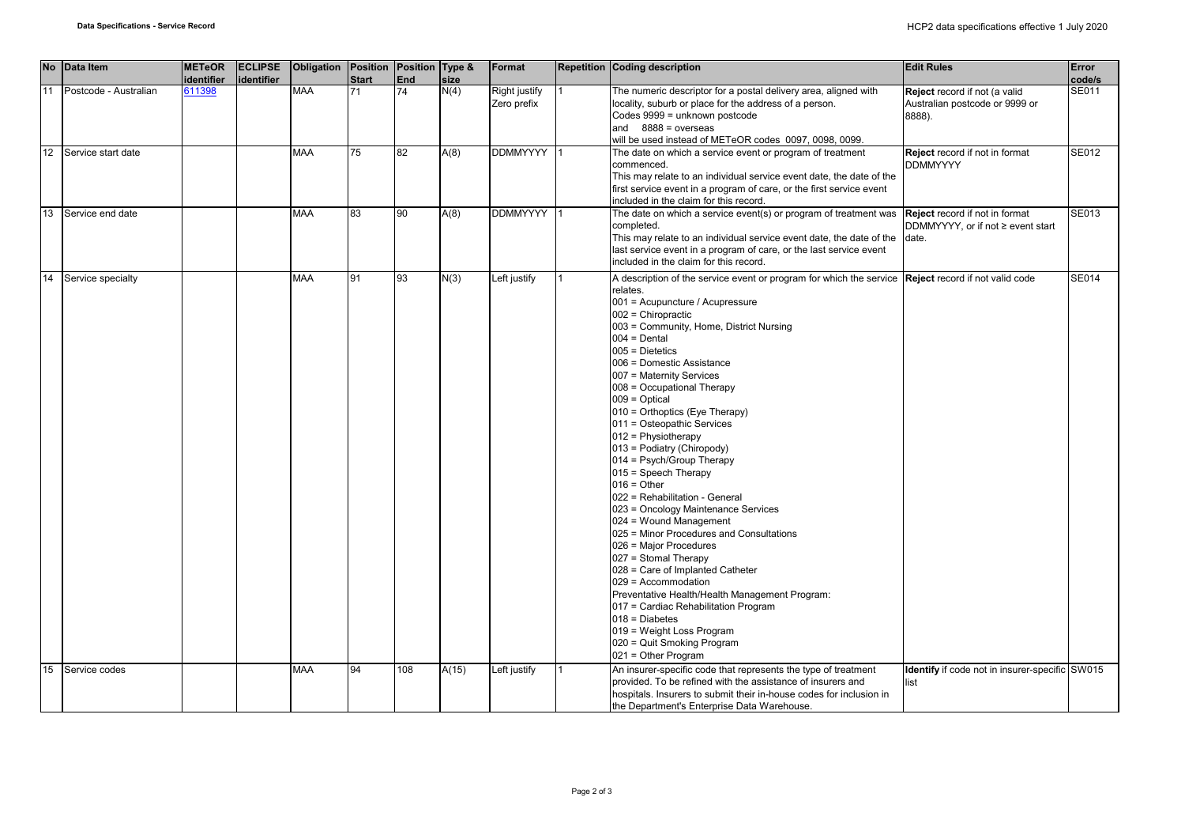|    | No Data Item          | <b>METeOR</b><br>identifier | <b>ECLIPSE</b><br>lidentifier | Obligation Position Position Type & | <b>Start</b> | End | size  | Format                       | <b>Repetition Coding description</b>                                                                                                                                                                                                                                                                                                                                                                                                                                                                                                                                                                                                                                                                                                                                                                                                                                                                                                                                                                                            | <b>Edit Rules</b>                                                         | Error<br>code/s |
|----|-----------------------|-----------------------------|-------------------------------|-------------------------------------|--------------|-----|-------|------------------------------|---------------------------------------------------------------------------------------------------------------------------------------------------------------------------------------------------------------------------------------------------------------------------------------------------------------------------------------------------------------------------------------------------------------------------------------------------------------------------------------------------------------------------------------------------------------------------------------------------------------------------------------------------------------------------------------------------------------------------------------------------------------------------------------------------------------------------------------------------------------------------------------------------------------------------------------------------------------------------------------------------------------------------------|---------------------------------------------------------------------------|-----------------|
| 11 | Postcode - Australian | 611398                      |                               | <b>MAA</b>                          | 71           | 74  | N(4)  | Right justify<br>Zero prefix | The numeric descriptor for a postal delivery area, aligned with<br>locality, suburb or place for the address of a person.<br>Codes 9999 = unknown postcode<br>and $8888 = 0$ overseas<br>will be used instead of METeOR codes 0097, 0098, 0099.                                                                                                                                                                                                                                                                                                                                                                                                                                                                                                                                                                                                                                                                                                                                                                                 | Reject record if not (a valid<br>Australian postcode or 9999 or<br>8888). | SE011           |
| 12 | Service start date    |                             |                               | <b>MAA</b>                          | 75           | 82  | A(8)  | <b>DDMMYYYY</b>              | The date on which a service event or program of treatment<br>commenced.<br>This may relate to an individual service event date, the date of the<br>first service event in a program of care, or the first service event<br>included in the claim for this record.                                                                                                                                                                                                                                                                                                                                                                                                                                                                                                                                                                                                                                                                                                                                                               | Reject record if not in format<br><b>DDMMYYYY</b>                         | SE012           |
| 13 | Service end date      |                             |                               | <b>MAA</b>                          | 83           | 90  | A(8)  | <b>DDMMYYYY</b>              | The date on which a service event(s) or program of treatment was<br>completed.<br>This may relate to an individual service event date, the date of the date.<br>last service event in a program of care, or the last service event<br>included in the claim for this record.                                                                                                                                                                                                                                                                                                                                                                                                                                                                                                                                                                                                                                                                                                                                                    | Reject record if not in format<br>DDMMYYYY, or if not ≥ event start       | SE013           |
| 14 | Service specialty     |                             |                               | <b>MAA</b>                          | 91           | 93  | N(3)  | Left justify                 | A description of the service event or program for which the service Reject record if not valid code<br>relates.<br>001 = Acupuncture / Acupressure<br>$002$ = Chiropractic<br>003 = Community, Home, District Nursing<br>$004 = Dental$<br>$005$ = Dietetics<br>006 = Domestic Assistance<br>007 = Maternity Services<br>008 = Occupational Therapy<br>$009 = Optical$<br>010 = Orthoptics (Eye Therapy)<br>011 = Osteopathic Services<br>$012$ = Physiotherapy<br>013 = Podiatry (Chiropody)<br>014 = Psych/Group Therapy<br>015 = Speech Therapy<br>$016 =$ Other<br>022 = Rehabilitation - General<br>023 = Oncology Maintenance Services<br>024 = Wound Management<br>025 = Minor Procedures and Consultations<br>026 = Major Procedures<br>027 = Stomal Therapy<br>028 = Care of Implanted Catheter<br>029 = Accommodation<br>Preventative Health/Health Management Program:<br>017 = Cardiac Rehabilitation Program<br>$018 = Diabetes$<br>019 = Weight Loss Program<br>020 = Quit Smoking Program<br>021 = Other Program |                                                                           | SE014           |
| 15 | Service codes         |                             |                               | <b>MAA</b>                          | 94           | 108 | A(15) | Left justify                 | An insurer-specific code that represents the type of treatment<br>provided. To be refined with the assistance of insurers and<br>hospitals. Insurers to submit their in-house codes for inclusion in<br>the Department's Enterprise Data Warehouse.                                                                                                                                                                                                                                                                                                                                                                                                                                                                                                                                                                                                                                                                                                                                                                             | <b>Identify</b> if code not in insurer-specific SW015<br>list             |                 |